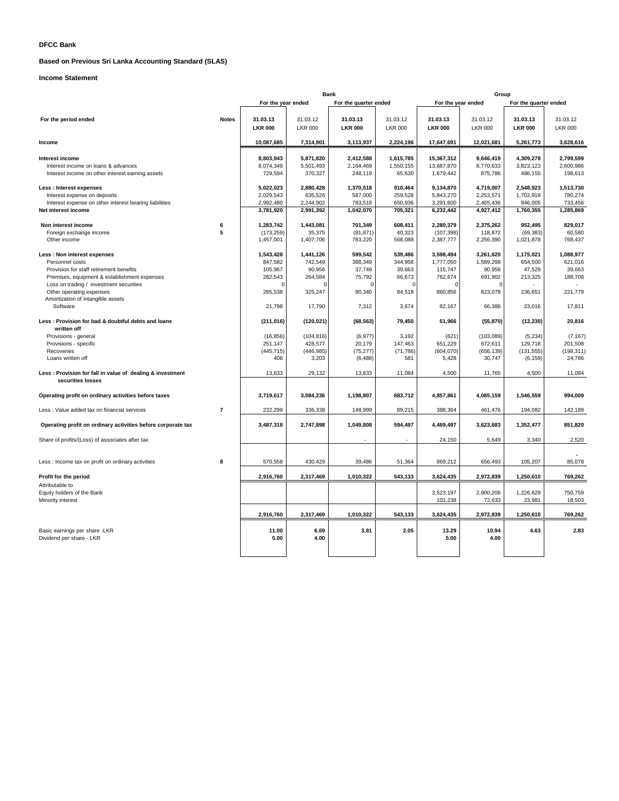# **DFCC Bank**

# **Based on Previous Sri Lanka Accounting Standard (SLAS)**

# **Income Statement**

|                                                                                         |                | Bank                 |                   |                       | Group             |                          |                     |                       |                   |
|-----------------------------------------------------------------------------------------|----------------|----------------------|-------------------|-----------------------|-------------------|--------------------------|---------------------|-----------------------|-------------------|
|                                                                                         |                | For the year ended   |                   | For the quarter ended |                   | For the year ended       |                     | For the quarter ended |                   |
| For the period ended                                                                    | <b>Notes</b>   | 31.03.13             | 31.03.12          | 31.03.13              | 31.03.12          | 31.03.13                 | 31.03.12            | 31.03.13              | 31.03.12          |
|                                                                                         |                | <b>LKR 000</b>       | <b>LKR 000</b>    | <b>LKR 000</b>        | <b>LKR 000</b>    | <b>LKR 000</b>           | <b>LKR 000</b>      | <b>LKR 000</b>        | <b>LKR 000</b>    |
| Income                                                                                  |                | 10.087.685           | 7,314,901         | 3,113,937             | 2,224,196         | 17,647,691               | 12,021,681          | 5,261,773             | 3,628,616         |
| Interest income                                                                         |                | 8,803,943            | 5,871,820         | 2,412,588             | 1,615,785         |                          | 9,646,419           | 4,309,278             | 2,799,599         |
| Interest income on loans & advances                                                     |                | 8,074,349            | 5,501,493         | 2,164,469             | 1,550,155         | 15,367,312<br>13,687,870 | 8,770,633           | 3,823,123             | 2,600,986         |
| Interest income on other interest earning assets                                        |                | 729,594              | 370,327           | 248,119               | 65,630            | 1,679,442                | 875,786             | 486,155               | 198,613           |
|                                                                                         |                |                      |                   |                       |                   |                          |                     |                       |                   |
| Less : Interest expenses                                                                |                | 5,022,023            | 2,880,428         | 1,370,518             | 910,464           | 9,134,870                | 4,719,007           | 2.548.923             | 1,513,730         |
| Interest expense on deposits                                                            |                | 2,029,543            | 635,526           | 587,000               | 259,528           | 5,843,270                | 2,253,571           | 1,702,918             | 780,274           |
| Interest expense on other interest bearing liabilities                                  |                | 2,992,480            | 2,244,902         | 783,518               | 650,936           | 3,291,600                | 2,465,436           | 846,005               | 733,456           |
| Net interest income                                                                     |                | 3,781,920            | 2,991,392         | 1,042,070             | 705,321           | 6,232,442                | 4,927,412           | 1,760,355             | 1,285,869         |
| Non interest income                                                                     | 6              | 1,283,742            | 1,443,081         | 701,349               | 608,411           | 2,280,379                | 2,375,262           | 952,495               | 829,017           |
| Foreign exchange income                                                                 | 5              | (173, 259)           | 35,375            | (81, 871)             | 40,323            | (107, 398)               | 118,872             | (69, 383)             | 60,580            |
| Other income                                                                            |                | 1,457,001            | 1,407,706         | 783,220               | 568,088           | 2,387,777                | 2,256,390           | 1,021,878             | 768,437           |
|                                                                                         |                |                      |                   |                       |                   |                          |                     |                       |                   |
| Less : Non interest expenses                                                            |                | 1,543,428            | 1,441,126         | 599,542               | 539,486           | 3,598,494                | 3,261,620           | 1,175,021             | 1,088,977         |
| Personnel costs                                                                         |                | 847,582<br>105,967   | 742,549<br>90,956 | 388,349<br>37,749     | 344,958<br>39,663 | 1,777,050<br>115,747     | 1,589,298<br>90,956 | 654,500<br>47,529     | 621,016<br>39,663 |
| Provision for staff retirement benefits<br>Premises, equipment & establishment expenses |                | 282,543              | 264,584           | 75,792                | 66,673            | 762,674                  | 691,902             | 213,325               | 188,708           |
| Loss on trading / investment securities                                                 |                |                      |                   |                       |                   |                          | $\Omega$            |                       |                   |
| Other operating expenses                                                                |                | 285,538              | 325,247           | 90,340                | 84,518            | 860,856                  | 823,078             | 236,651               | 221,779           |
| Amortization of intangible assets                                                       |                |                      |                   |                       |                   |                          |                     |                       |                   |
| Software                                                                                |                | 21,798               | 17,790            | 7,312                 | 3,674             | 82,167                   | 66,386              | 23,016                | 17,811            |
| Less: Provision for bad & doubtful debts and loans                                      |                | (211, 016)           | (120, 021)        | (68, 563)             | 79,450            | 51,966                   | (55, 870)           | (13, 230)             | 20,816            |
| written off<br>Provisions - general                                                     |                |                      | (104, 816)        |                       | 3,192             | (621)                    | (103, 089)          |                       | (7, 167)          |
| Provisions - specific                                                                   |                | (16, 856)<br>251,147 | 428,577           | (6, 977)<br>20,179    | 147,463           | 651,229                  | 672,611             | (5,234)<br>129,718    | 201,508           |
| Recoveries                                                                              |                | (445, 715)           | (446, 985)        | (75, 277)             | (71, 786)         | (604, 070)               | (656, 139)          | (131, 555)            | (198, 311)        |
| Loans written off                                                                       |                | 408                  | 3,203             | (6, 488)              | 581               | 5,428                    | 30,747              | (6, 159)              | 24,786            |
| Less : Provision for fall in value of dealing & investment                              |                | 13,633               | 29,132            | 13,633                | 11,084            | 4,500                    | 11,765              | 4,500                 | 11,084            |
| securities losses                                                                       |                |                      |                   |                       |                   |                          |                     |                       |                   |
| Operating profit on ordinary activities before taxes                                    |                | 3,719,617            | 3,084,236         | 1,198,807             | 683,712           | 4,857,861                | 4,085,159           | 1,546,559             | 994.009           |
| Less : Value added tax on financial services                                            | $\overline{7}$ | 232,299              | 336,338           | 148,999               | 89,215            | 388,364                  | 461,476             | 194,082               | 142,189           |
| Operating profit on ordinary activities before corporate tax                            |                | 3,487,318            | 2,747,898         | 1,049,808             | 594,497           | 4,469,497                | 3,623,683           | 1,352,477             | 851,820           |
| Share of profits/(Loss) of associates after tax                                         |                |                      |                   |                       |                   | 24,150                   | 5,649               | 3,340                 | 2,520             |
|                                                                                         |                |                      |                   |                       |                   |                          |                     |                       |                   |
| Less : Income tax on profit on ordinary activities                                      | 8              | 570,558              | 430,429           | 39,486                | 51,364            | 869,212                  | 656,493             | 105,207               | 85,078            |
|                                                                                         |                |                      |                   |                       |                   |                          |                     |                       |                   |
| Profit for the period                                                                   |                | 2,916,760            | 2,317,469         | 1,010,322             | 543,133           | 3,624,435                | 2,972,839           | 1,250,610             | 769,262           |
| Attributable to                                                                         |                |                      |                   |                       |                   |                          |                     |                       |                   |
| Equity holders of the Bank                                                              |                |                      |                   |                       |                   | 3,523,197                | 2,900,206           | 1,226,629             | 750,759           |
| Minority interest                                                                       |                |                      |                   |                       |                   | 101,238                  | 72,633              | 23,981                | 18,503            |
|                                                                                         |                | 2,916,760            | 2,317,469         | 1,010,322             | 543,133           | 3,624,435                | 2,972,839           | 1,250,610             | 769,262           |
| Basic earnings per share -LKR                                                           |                | 11.00                | 6.69              | 3.81                  | 2.05              | 13.29                    | 10.94               | 4.63                  | 2.83              |
| Dividend per share - LKR                                                                |                | 5.00                 | 4.00              |                       |                   | 5.00                     | 4.00                |                       |                   |
|                                                                                         |                |                      |                   |                       |                   |                          |                     |                       |                   |
|                                                                                         |                |                      |                   |                       |                   |                          |                     |                       |                   |
|                                                                                         |                |                      |                   |                       |                   |                          |                     |                       |                   |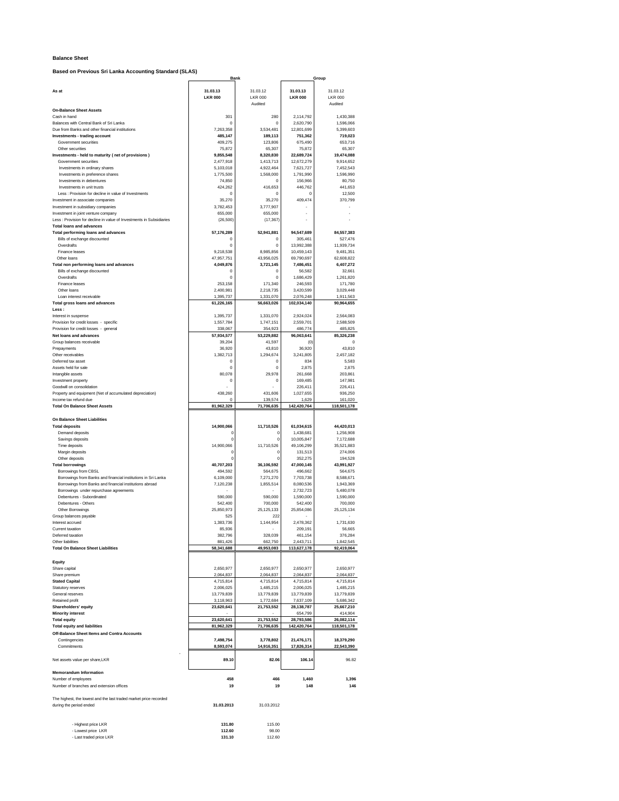### **Balance Sheet**

**Based on Previous Sri Lanka Accounting Standard (SLAS)**

| Based on Previous Sri Lanka Accounting Standard (SLAS)                                       | <b>Bank</b>                |                                       |                            | Group                                 |
|----------------------------------------------------------------------------------------------|----------------------------|---------------------------------------|----------------------------|---------------------------------------|
| As at                                                                                        | 31.03.13<br><b>LKR 000</b> | 31.03.12<br><b>LKR 000</b><br>Audited | 31.03.13<br><b>LKR 000</b> | 31.03.12<br><b>LKR 000</b><br>Audited |
| <b>On-Balance Sheet Assets</b><br>Cash in hand                                               | 301                        | 280                                   | 2,114,792                  | 1,430,388                             |
| Balances with Central Bank of Sri Lanka                                                      | $\mathbf 0$                | $\circ$                               | 2,620,790                  | 1,596,066                             |
| Due from Banks and other financial institutions                                              | 7,263,358                  | 3,534,481                             | 12,801,699                 | 5,399,603                             |
| Investments - trading account<br>Government securities                                       | 485,147<br>409,275         | 189,113<br>123,806                    | 751.362<br>675,490         | 719,023<br>653,716                    |
| Other securities                                                                             | 75,872                     | 65,307                                | 75,872                     | 65,307                                |
| Investments - held to maturity (net of provisions)                                           | 9,855,548                  | 8,320,830                             | 22,689,724                 | 19,474,088                            |
| Government securities                                                                        | 2,477,918                  | 1,413,713                             | 12,672,279                 | 9,914,652                             |
| Investments in ordinary shares<br>Investments in preference shares                           | 5,103,018<br>1,775,500     | 4,922,464<br>1,568,000                | 7,621,727<br>1,791,990     | 7,452,543<br>1,596,990                |
| Investments in debentures                                                                    | 74,850                     | 0                                     | 156,966                    | 80,750                                |
| Investments in unit trusts                                                                   | 424,262                    | 416,653                               | 446,762                    | 441,653                               |
| Less : Provision for decline in value of Investments                                         | $\mathbf 0$                | $\circ$                               | $\circ$                    | 12,500                                |
| Investment in associate companies                                                            | 35,270                     | 35,270                                | 409,474                    | 370,799                               |
| Investment in subsidiary companies<br>Investment in joint venture company                    | 3,782,453<br>655,000       | 3,777,907<br>655,000                  |                            |                                       |
| Less : Provision for decline in value of Investments in Subsidiaries                         | (26, 500)                  | (17, 367)                             |                            |                                       |
| <b>Total loans and advances</b>                                                              |                            |                                       |                            |                                       |
| Total performing loans and advances                                                          | 57,176,289                 | 52,941,881                            | 94,547,689                 | 84,557,383                            |
| Bills of exchange discounted<br>Overdrafts                                                   | $\mathbf 0$<br>$\bf{0}$    | $\circ$<br>$\mathbf 0$                | 305.461<br>13,992,388      | 527,476<br>11,939,734                 |
| Finance leases                                                                               | 9,218,538                  | 8,985,856                             | 10,459,143                 | 9,481,351                             |
| Other loans                                                                                  | 47,957,751                 | 43,956,025                            | 69,790,697                 | 62,608,822                            |
| Total non performing loans and advances                                                      | 4,049,876                  | 3,721,145                             | 7,486,451                  | 6,407,272                             |
| Bills of exchange discounted                                                                 | $\mathbf 0$                | $\circ$                               | 56.582                     | 32.661                                |
| Overdrafts                                                                                   | $\mathbf 0$                | $\mathbf 0$                           | 1,686,429<br>246,593       | 1,261,820                             |
| Finance leases<br>Other loans                                                                | 253,158<br>2,400,981       | 171,340<br>2,218,735                  | 3,420,599                  | 171,780<br>3,029,448                  |
| Loan interest receivable                                                                     | 1,395,737                  | 1,331,070                             | 2,076,248                  | 1,911,563                             |
| Total gross loans and advances                                                               | 61,226,165                 | 56,663,026                            | 102,034,140                | 90,964,655                            |
| Less:                                                                                        |                            |                                       |                            |                                       |
| Interest in suspense                                                                         | 1,395,737                  | 1,331,070                             | 2,924,024                  | 2,564,083                             |
| Provision for credit losses - specific<br>Provision for credit losses - general              | 1,557,784<br>338,067       | 1.747.151<br>354,923                  | 2,559,701<br>486,774       | 2,588,509<br>485,825                  |
| Net loans and advances                                                                       | 57,934,577                 | 53,229,882                            | 96,063,641                 | 85,326,238                            |
| Group balances receivable                                                                    | 39,204                     | 41,597                                | (0)                        |                                       |
| Prepayments                                                                                  | 36,920                     | 43.810                                | 36.920                     | 43,810                                |
| Other receivables                                                                            | 1,382,713                  | 1,294,674                             | 3.241.805                  | 2,457,182                             |
| Deferred tax asset                                                                           | $\mathbf 0$<br>$\mathbf 0$ | $\theta$<br>$\circ$                   | 834                        | 5,583                                 |
| Assets held for sale<br>Intangible assets                                                    | 80,078                     | 29,978                                | 2,875<br>261,668           | 2,875<br>203,861                      |
| Investment property                                                                          | $\mathbf 0$                | $\circ$                               | 169,485                    | 147,981                               |
| Goodwill on consolidation                                                                    |                            |                                       | 226,411                    | 226,411                               |
| Property and equipment (Net of accumulated depreciation)                                     | 438,260                    | 431,606                               | 1,027,655                  | 936,250                               |
| Income tax refund due                                                                        | $\mathbf 0$                | 139,574                               | 1,629                      | 161,020                               |
| <b>Total On Balance Sheet Assets</b>                                                         | 81,962,329                 | 71,706,635                            | 142,420,764                | 118,501,178                           |
| On Balance Sheet Liabilities                                                                 |                            |                                       |                            |                                       |
| <b>Total deposits</b>                                                                        | 14,900,066                 | 11,710,526                            | 61,034,615                 | 44,420,013                            |
| Demand deposits                                                                              | 0                          | $\mathcal{L}$                         | 1,438,681                  | 1,256,908                             |
| Savings deposits                                                                             | $\mathbf 0$                |                                       | 10,005,847                 | 7,172,688                             |
| Time deposits                                                                                | 14,900,066<br>$\mathbf 0$  | 11,710,526                            | 49,106,299                 | 35,521,883                            |
| Margin deposits<br>Other deposits                                                            | $\mathbf 0$                | 0                                     | 131,513<br>352,275         | 274,006<br>194,528                    |
| <b>Total borrowings</b>                                                                      | 40,707,203                 | 36,106,592                            | 47,000,145                 | 43,991,927                            |
| Borrowings from CBSL                                                                         | 494.592                    | 564,675                               | 496,662                    | 564.675                               |
| Borrowings from Banks and financial institutions in Sri Lanka                                | 6,109,000                  | 7,271,270                             | 7.703.738                  | 8,588,671                             |
| Borrowings from Banks and financial institutions abroad                                      | 7,120,238                  | 1,855,514                             | 8,080,536<br>2,732,723     | 1,943,369                             |
| Borrowings under repurchase agreements<br>Debentures - Subordinated                          | 590,000                    | 590,000                               | 1,590,000                  | 5,480,078<br>1,590,000                |
| Debentures - Others                                                                          | 542,400                    | 700,000                               | 542,400                    | 700,000                               |
| Other Borrowings                                                                             | 25,850,973                 | 25,125,133                            | 25,854,086                 | 25,125,134                            |
| Group balances payable                                                                       | 525                        | 222                                   |                            |                                       |
| Interest accrued                                                                             | 1.383.736                  | 1.144.954                             | 2.478.362                  | 1.731.630                             |
| Current taxation<br>Deferred taxation                                                        | 85,936<br>382,796          | 328,039                               | 209,191<br>461,154         | 56.665<br>376,284                     |
| Other liabilities                                                                            | 881,426                    | 662,750                               | 2,443,711                  | 1,842,545                             |
| <b>Total On Balance Sheet Liabilities</b>                                                    | 58,341,688                 | 49,953,083                            | 113,627,178                | 92,419,064                            |
|                                                                                              |                            |                                       |                            |                                       |
| Equity                                                                                       |                            |                                       |                            |                                       |
| Share capital                                                                                | 2,650,977<br>2.064.837     | 2,650,977<br>2,064,837                | 2,650,977                  | 2.650.977                             |
| Share premium<br><b>Stated Capital</b>                                                       | 4,715,814                  | 4,715,814                             | 2,064,837<br>4,715,814     | 2,064,837<br>4,715,814                |
| Statutory reserves                                                                           | 2,006,025                  | 1,485,215                             | 2,006,025                  | 1,485,215                             |
| General reserves                                                                             | 13,779,839                 | 13,779,839                            | 13,779.839                 | 13,779,839                            |
| Retained profit                                                                              | 3,118,963                  | 1,772,684                             | 7,637,109                  | 5,686,342                             |
| Shareholders' equity                                                                         | 23,620,641                 | 21,753,552                            | 28, 138, 787               | 25,667,210                            |
| <b>Minority interest</b><br><b>Total equity</b>                                              | 23,620,641                 | 21.753.552                            | 654,799<br>28,793,586      | 414,904<br>26,082,114                 |
| <b>Total equity and liabilities</b>                                                          | 81,962,329                 | 71,706,635                            | 142,420,764                | 118,501,178                           |
| Off-Balance Sheet Items and Contra Accounts                                                  |                            |                                       |                            |                                       |
| Contingencies                                                                                | 7,498,754                  | 3,778,802                             | 21,476,171                 | 18,379,290                            |
| Commitments                                                                                  | 8,593,074                  | 14,916,351                            | 17,826,314                 | 22,543,390                            |
|                                                                                              |                            |                                       |                            |                                       |
| Net assets value per share, LKR                                                              | 89.10                      | 82.06                                 | 106.14                     | 96.82                                 |
| <b>Memorandum Information</b>                                                                |                            |                                       |                            |                                       |
| Number of employees                                                                          | 458                        | 466                                   | 1,460                      | 1,396                                 |
| Number of branches and extension offices                                                     | 19                         | 19                                    | 148                        | 146                                   |
|                                                                                              |                            |                                       |                            |                                       |
| The highest, the lowest and the last traded market price recorded<br>during the period ended | 31.03.2013                 | 31.03.2012                            |                            |                                       |
|                                                                                              |                            |                                       |                            |                                       |
|                                                                                              |                            |                                       |                            |                                       |
| - Highest price LKR                                                                          | 131.80                     | 115.00                                |                            |                                       |
| - Lowest price LKR                                                                           | 112.60                     | 98.00                                 |                            |                                       |
| - Last traded price LKR                                                                      | 131.10                     | 112.60                                |                            |                                       |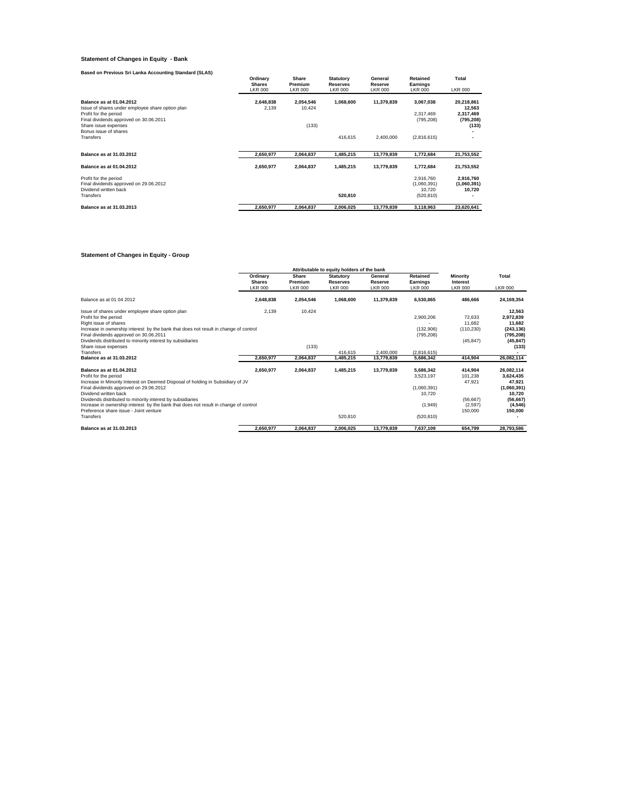# **Statement of Changes in Equity - Bank**

| Based on Previous Sri Lanka Accounting Standard (SLAS)                                                                                          |                                             |                                    |                                                       |                                      |                                        |                                                 |
|-------------------------------------------------------------------------------------------------------------------------------------------------|---------------------------------------------|------------------------------------|-------------------------------------------------------|--------------------------------------|----------------------------------------|-------------------------------------------------|
|                                                                                                                                                 | Ordinary<br><b>Shares</b><br><b>LKR 000</b> | Share<br>Premium<br><b>LKR 000</b> | <b>Statutory</b><br><b>Reserves</b><br><b>LKR 000</b> | General<br>Reserve<br><b>LKR 000</b> | Retained<br>Earnings<br><b>LKR 000</b> | Total<br><b>LKR 000</b>                         |
| Balance as at 01.04.2012<br>Issue of shares under employee share option plan<br>Profit for the period<br>Final dividends approved on 30.06.2011 | 2,648,838<br>2.139                          | 2,054,546<br>10.424                | 1,068,600                                             | 11,379,839                           | 3,067,038<br>2.317.469<br>(795, 208)   | 20,218,861<br>12,563<br>2,317,469<br>(795, 208) |
| Share issue expenses<br>Bonus issue of shares                                                                                                   |                                             | (133)                              |                                                       |                                      |                                        | (133)                                           |
| Transfers                                                                                                                                       |                                             |                                    | 416,615                                               | 2,400,000                            | (2,816,615)                            |                                                 |
| Balance as at 31.03.2012                                                                                                                        | 2,650,977                                   | 2,064,837                          | 1.485.215                                             | 13,779,839                           | 1,772,684                              | 21,753,552                                      |
| Balance as at 01.04.2012                                                                                                                        | 2,650,977                                   | 2,064,837                          | 1,485,215                                             | 13,779,839                           | 1,772,684                              | 21,753,552                                      |
| Profit for the period<br>Final dividends approved on 29.06.2012<br>Dividend written back                                                        |                                             |                                    |                                                       |                                      | 2,916,760<br>(1,060,391)<br>10.720     | 2,916,760<br>(1,060,391)<br>10.720              |
| Transfers                                                                                                                                       |                                             |                                    | 520,810                                               |                                      | (520, 810)                             |                                                 |
| Balance as at 31,03,2013                                                                                                                        | 2.650.977                                   | 2,064,837                          | 2.006.025                                             | 13,779,839                           | 3,118,963                              | 23.620.641                                      |

# **Statement of Changes in Equity - Group**

|                                                                                      |                                             |                                    | Attributable to equity holders of the bank            |                                      |                                        |                                               |                         |
|--------------------------------------------------------------------------------------|---------------------------------------------|------------------------------------|-------------------------------------------------------|--------------------------------------|----------------------------------------|-----------------------------------------------|-------------------------|
|                                                                                      | Ordinary<br><b>Shares</b><br><b>LKR 000</b> | Share<br>Premium<br><b>LKR 000</b> | <b>Statutory</b><br><b>Reserves</b><br><b>LKR 000</b> | General<br>Reserve<br><b>LKR 000</b> | Retained<br>Earnings<br><b>LKR 000</b> | <b>Minority</b><br>Interest<br><b>LKR 000</b> | Total<br><b>LKR 000</b> |
|                                                                                      |                                             |                                    |                                                       |                                      |                                        |                                               |                         |
| Balance as at 01 04 2012                                                             | 2,648,838                                   | 2,054,546                          | 1,068,600                                             | 11,379,839                           | 6.530.865                              | 486.666                                       | 24,169,354              |
| Issue of shares under employee share option plan                                     | 2,139                                       | 10,424                             |                                                       |                                      |                                        |                                               | 12,563                  |
| Profit for the period                                                                |                                             |                                    |                                                       |                                      | 2,900,206                              | 72,633                                        | 2,972,839               |
| Right issue of shares                                                                |                                             |                                    |                                                       |                                      |                                        | 11.682                                        | 11,682                  |
| Increase in ownership interest by the bank that does not result in change of control |                                             |                                    |                                                       |                                      | (132, 906)                             | (110, 230)                                    | (243, 136)              |
| Final dividends approved on 30.06.2011                                               |                                             |                                    |                                                       |                                      | (795, 208)                             |                                               | (795, 208)              |
| Dividends distributed to minority interest by subsidiaries                           |                                             |                                    |                                                       |                                      |                                        | (45, 847)                                     | (45, 847)               |
| Share issue expenses                                                                 |                                             | (133)                              |                                                       |                                      |                                        |                                               | (133)                   |
| Transfers                                                                            |                                             |                                    | 416.615                                               | 2.400.000                            | (2.816.615)                            |                                               |                         |
| Balance as at 31.03.2012                                                             | 2,650,977                                   | 2,064,837                          | 1,485,215                                             | 13,779,839                           | 5,686,342                              | 414,904                                       | 26,082,114              |
| Balance as at 01.04.2012                                                             | 2,650,977                                   | 2,064,837                          | 1,485,215                                             | 13,779,839                           | 5,686,342                              | 414.904                                       | 26,082,114              |
| Profit for the period                                                                |                                             |                                    |                                                       |                                      | 3,523,197                              | 101,238                                       | 3,624,435               |
| Increase in Minority Interest on Deemed Disposal of holding in Subsidiary of JV      |                                             |                                    |                                                       |                                      |                                        | 47,921                                        | 47,921                  |
| Final dividends approved on 29.06.2012                                               |                                             |                                    |                                                       |                                      | (1,060,391)                            |                                               | (1,060,391)             |
| Dividend written back                                                                |                                             |                                    |                                                       |                                      | 10,720                                 |                                               | 10,720                  |
| Dividends distributed to minority interest by subsidiaries                           |                                             |                                    |                                                       |                                      |                                        | (56, 667)                                     | (56, 667)               |
| Increase in ownership interest by the bank that does not result in change of control |                                             |                                    |                                                       |                                      | (1,949)                                | (2, 597)                                      | (4,546)                 |
| Preference share issue - Joint venture                                               |                                             |                                    |                                                       |                                      |                                        | 150,000                                       | 150,000                 |
| Transfers                                                                            |                                             |                                    | 520.810                                               |                                      | (520, 810)                             |                                               |                         |
| Balance as at 31,03,2013                                                             | 2.650.977                                   | 2.064.837                          | 2.006.025                                             | 13.779.839                           | 7.637.109                              | 654.799                                       | 28.793.586              |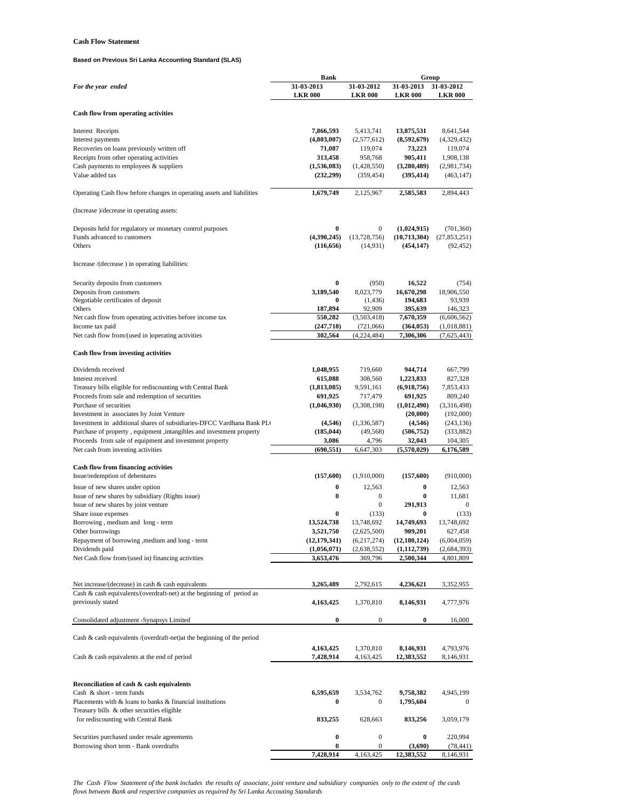# **Cash Flow Statement**

# **Based on Previous Sri Lanka Accounting Standard (SLAS)**

|                                                                         | <b>Bank</b>                   |                            | Group                           |                            |
|-------------------------------------------------------------------------|-------------------------------|----------------------------|---------------------------------|----------------------------|
| For the year ended                                                      | 31 03 2013                    | 31-03-2012                 | 31-03-2013                      | 31-03-2012                 |
|                                                                         | <b>LKR 000</b>                | <b>LKR 000</b>             | <b>LKR 000</b>                  | <b>LKR 000</b>             |
|                                                                         |                               |                            |                                 |                            |
| Cash flow from operating activities                                     |                               |                            |                                 |                            |
| <b>Interest Receipts</b>                                                | 7,866,593                     | 5,413,741                  | 13,875,531                      | 8,641,544                  |
| Interest payments                                                       | (4,803,007)                   | (2,577,612)                | (8,592,679)                     | (4,329,432)                |
| Recoveries on loans previously written off                              | 71,087                        | 119,074                    | 73,223                          | 119,074                    |
| Receipts from other operating activities                                | 313,458                       | 958,768                    | 905,411                         | 1,908,138                  |
| Cash payments to employees & suppliers                                  | (1,536,083)                   | (1,428,550)                | (3,280,489)                     | (2,981,734)                |
| Value added tax                                                         | (232, 299)                    | (359, 454)                 | (395, 414)                      | (463, 147)                 |
|                                                                         |                               |                            |                                 |                            |
| Operating Cash flow before changes in operating assets and liabilities  | 1,679,749                     | 2,125,967                  | 2,585,583                       | 2,894,443                  |
|                                                                         |                               |                            |                                 |                            |
| (Increase )/decrease in operating assets:                               |                               |                            |                                 |                            |
|                                                                         |                               |                            |                                 |                            |
| Deposits held for regulatory or monetary control purposes               | $\bf{0}$                      | 0                          | (1,024,915)                     | (701, 360)                 |
| Funds advanced to customers                                             | (4,390,245)                   | (13,728,756)               | (10,713,304)                    | (27, 853, 251)             |
| Others                                                                  | (116, 656)                    | (14, 931)                  | (454, 147)                      | (92, 452)                  |
| Increase /(decrease) in operating liabilities:                          |                               |                            |                                 |                            |
|                                                                         |                               |                            |                                 |                            |
|                                                                         | $\bf{0}$                      |                            |                                 |                            |
| Security deposits from customers                                        |                               | (950)<br>8,023,779         | 16,522                          | (754)                      |
| Deposits from customers<br>Negotiable certificates of deposit           | 3,189,540<br>0                | (1, 436)                   | 16,670,298<br>194,683           | 18,906,550<br>93,939       |
| Others                                                                  | 187,894                       | 92,909                     | 395,639                         | 146,323                    |
| Net cash flow from operating activities before income tax               | 550,282                       | (3,503,418)                | 7,670,359                       | (6,606,562)                |
| Income tax paid                                                         | (247,718)                     | (721,066)                  | (364, 053)                      | (1,018,881)                |
| Net cash flow from/(used in )operating activities                       | 302,564                       | (4,224,484)                | 7,306,306                       | (7,625,443)                |
|                                                                         |                               |                            |                                 |                            |
| <b>Cash flow from investing activities</b>                              |                               |                            |                                 |                            |
|                                                                         |                               |                            |                                 |                            |
| Dividends received                                                      | 1,048,955                     | 719,660                    | 944,714                         | 667,799                    |
| Interest received                                                       | 615,088                       | 308,560                    | 1,223,833                       | 827,328                    |
| Treasury bills eligible for rediscounting with Central Bank             | (1,813,085)                   | 9,591,161                  | (6,918,756)                     | 7,853,433                  |
| Proceeds from sale and redemption of securities                         | 691,925                       | 717,479                    | 691,925                         | 809,240                    |
| Purchase of securities                                                  | (1,046,930)                   | (3,308,198)                | (1,012,490)                     | (3,316,498)                |
| Investment in associates by Joint Venture                               |                               |                            | (20,000)                        | (192,000)                  |
| Investment in additional shares of subsidiaries-DFCC Vardhana Bank PLO  | (4,546)                       | (1,336,587)                | (4,546)                         | (243, 136)                 |
| Purchase of property, equipment, intangibles and investment property    | (185, 044)                    | (49, 568)                  | (506, 752)                      | (333, 882)                 |
| Proceeds from sale of equipment and investment property                 | 3,086                         | 4,796                      | 32,043                          | 104,305                    |
| Net cash from investing activities                                      | (690, 551)                    | 6,647,303                  | (5,570,029)                     | 6,176,589                  |
| <b>Cash flow from financing activities</b>                              |                               |                            |                                 |                            |
| Issue/redemption of debentures                                          | (157, 600)                    | (1,910,000)                | (157,600)                       | (910,000)                  |
|                                                                         |                               |                            |                                 |                            |
| Issue of new shares under option                                        | 0                             | 12,563                     | $\bf{0}$                        | 12,563                     |
| Issue of new shares by subsidiary (Rights issue)                        | 0                             | $\boldsymbol{0}$           | 0                               | 11,681                     |
| Issue of new shares by joint venture                                    |                               | $\boldsymbol{0}$           | 291,913                         | $\boldsymbol{0}$           |
| Share issue expenses                                                    | $\bf{0}$                      | (133)                      | $\bf{0}$                        | (133)                      |
| Borrowing, medium and long - term                                       | 13,524,738                    | 13,748,692                 | 14,749,693                      | 13,748,692<br>627,458      |
| Other borrowings                                                        | 3,521,750                     | (2,625,500)                | 909,201                         |                            |
| Repayment of borrowing , medium and long - term<br>Dividends paid       | (12, 179, 341)<br>(1,056,071) | (6,217,274)<br>(2,638,552) | (12, 180, 124)<br>(1, 112, 739) | (6,004,059)<br>(2,684,393) |
| Net Cash flow from/(used in) financing activities                       | 3,653,476                     | 369,796                    | 2,500,344                       | 4,801,809                  |
|                                                                         |                               |                            |                                 |                            |
|                                                                         |                               |                            |                                 |                            |
| Net increase/(decrease) in cash & cash equivalents                      | 3,265,489                     | 2,792,615                  | 4,236,621                       | 3,352,955                  |
| Cash & cash equivalents/(overdraft-net) at the beginning of period as   |                               |                            |                                 |                            |
| previously stated                                                       | 4,163,425                     | 1,370,810                  | 8,146,931                       | 4,777,976                  |
|                                                                         |                               |                            |                                 |                            |
| Consolidated adjustment -Synapsys Limited                               | 0                             | $\mathbf{0}$               | $\bf{0}$                        | 16,000                     |
|                                                                         |                               |                            |                                 |                            |
| Cash & cash equivalents /(overdraft-net) at the beginning of the period |                               |                            |                                 |                            |
|                                                                         | 4,163,425                     | 1,370,810                  | 8,146,931                       | 4,793,976                  |
| Cash $\&$ cash equivalents at the end of period                         | 7,428,914                     | 4,163,425                  | 12,383,552                      | 8,146,931                  |
|                                                                         |                               |                            |                                 |                            |
|                                                                         |                               |                            |                                 |                            |
| Reconciliation of cash & cash equivalents                               |                               |                            |                                 |                            |
| Cash & short - term funds                                               | 6,595,659                     | 3,534,762                  | 9,758,382                       | 4,945,199                  |
| Placements with $\&$ loans to banks $\&$ financial institutions         | $\bf{0}$                      | $\boldsymbol{0}$           | 1,795,604                       | $\boldsymbol{0}$           |
| Treasury bills & other securities eligible                              |                               |                            |                                 |                            |
| for rediscounting with Central Bank                                     | 833,255                       | 628,663                    | 833,256                         | 3,059,179                  |
|                                                                         |                               |                            |                                 |                            |
| Securities purchased under resale agreements                            | 0                             | $\boldsymbol{0}$           | $\bf{0}$                        | 220,994                    |
| Borrowing short term - Bank overdrafts                                  | 0                             | $\boldsymbol{0}$           | (3,690)                         | (78, 441)                  |
|                                                                         | 7,428,914                     | 4,163,425                  | 12,383,552                      | 8,146,931                  |

*The Cash Flow Statement of the bank includes the results of associate, joint venture and subsidiary companies only to the extent of the cash flows between Bank and respective companies as required by Sri Lanka Accouting Standards*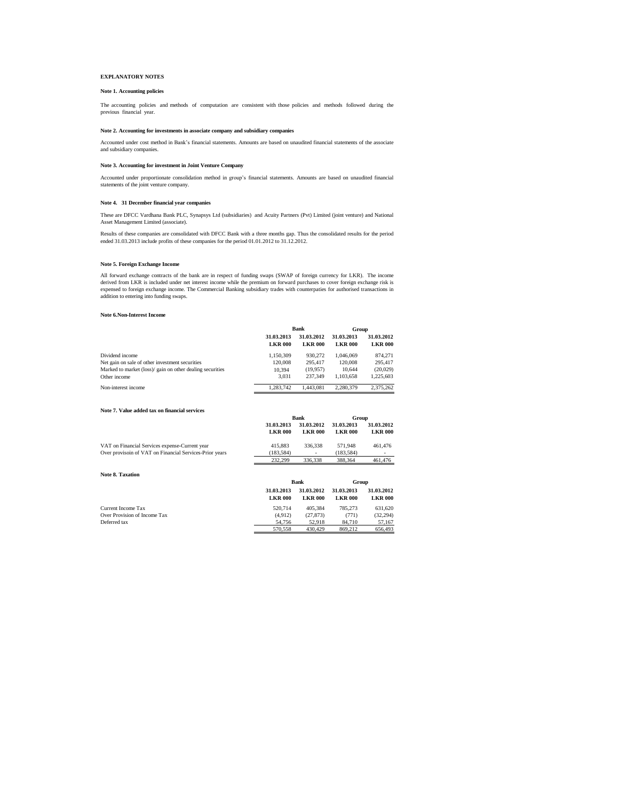# **EXPLANATORY NOTES**

### **Note 1. Accounting policies**

The accounting policies and methods of computation are consistent with those policies and methods followed during the previous financial year.

#### **Note 2. Accounting for investments in associate company and subsidiary companies**

Accounted under cost method in Bank's financial statements. Amounts are based on unaudited financial statements of the associate and subsidiary companies.

### **Note 3. Accounting for investment in Joint Venture Company**

Accounted under proportionate consolidation method in group's financial statements. Amounts are based on unaudited financial statements of the joint venture company.

#### **Note 4. 31 December financial year companies**

These are DFCC Vardhana Bank PLC, Synapsys Ltd (subsidiaries) and Acuity Partners (Pvt) Limited (joint venture) and National Asset Management Limited (associate).

Results of these companies are consolidated with DFCC Bank with a three months gap. Thus the consolidated results for the period ended 31.03.2013 include profits of these companies for the period 01.01.2012 to 31.12.2012.

#### **Note 5. Foreign Exchange Income**

All forward exchange contracts of the bank are in respect of funding swaps (SWAP of foreign currency for LKR). The income<br>derived from LKR is included under net interest income while the premium on forward purchases to cov

#### **Note 6.Non-Interest Income**

**Note 8. Taxation**

|                                                           | Bank                         |                              | Group                        |                              |
|-----------------------------------------------------------|------------------------------|------------------------------|------------------------------|------------------------------|
|                                                           | 31.03.2013<br><b>LKR 000</b> | 31.03.2012<br><b>LKR 000</b> | 31.03.2013<br><b>LKR 000</b> | 31.03.2012<br><b>LKR 000</b> |
| Dividend income                                           | 1.150.309                    | 930.272                      | 1.046.069                    | 874.271                      |
| Net gain on sale of other investment securities           | 120,008                      | 295.417                      | 120,008                      | 295.417                      |
| Marked to market (loss)/ gain on other dealing securities | 10.394                       | (19.957)                     | 10.644                       | (20,029)                     |
| Other income                                              | 3.031                        | 237.349                      | 1.103.658                    | 1.225.603                    |
| Non-interest income                                       | 1.283.742                    | 1.443.081                    | 2.280.379                    | 2.375.262                    |

#### **Note 7. Value added tax on financial services**

|                                                         |                | Bank           | Group          |                |
|---------------------------------------------------------|----------------|----------------|----------------|----------------|
|                                                         | 31.03.2013     | 31.03.2012     | 31.03.2013     | 31.03.2012     |
|                                                         | <b>LKR 000</b> | <b>LKR 000</b> | <b>LKR 000</b> | <b>LKR 000</b> |
| VAT on Financial Services expense-Current year          | 415.883        | 336,338        | 571,948        | 461,476        |
| Over provisoin of VAT on Financial Services-Prior years | (183.584)      | н.             | (183.584)      | ۰              |
|                                                         | 232.299        | 336,338        | 388,364        | 461,476        |

|                              |                              | Bank                         |                              | Group                        |  |
|------------------------------|------------------------------|------------------------------|------------------------------|------------------------------|--|
|                              | 31.03.2013<br><b>LKR 000</b> | 31.03.2012<br><b>LKR 000</b> | 31.03.2013<br><b>LKR 000</b> | 31.03.2012<br><b>LKR 000</b> |  |
| Current Income Tax           | 520.714                      | 405.384                      | 785,273                      | 631.620                      |  |
| Over Provision of Income Tax | (4.912)                      | (27.873)                     | (771)                        | (32, 294)                    |  |
| Deferred tax                 | 54,756                       | 52.918                       | 84,710                       | 57.167                       |  |
|                              | 570,558                      | 430,429                      | 869,212                      | 656,493                      |  |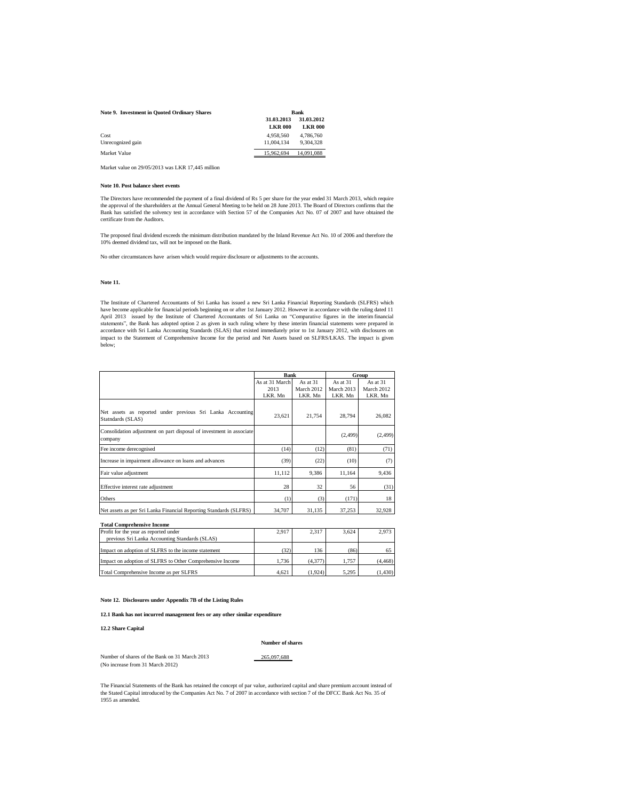#### **Note 9. Investment in Quoted Ordinary Shares**

| Note 9. Investment in Ouoted Ordinary Shares | <b>Bank</b>    |                |  |  |
|----------------------------------------------|----------------|----------------|--|--|
|                                              | 31.03.2013     | 31.03.2012     |  |  |
|                                              | <b>LKR 000</b> | <b>LKR 000</b> |  |  |
| Cost                                         | 4.958.560      | 4,786,760      |  |  |
| Unrecognized gain                            | 11.004.134     | 9.304.328      |  |  |
| Market Value                                 | 15.962.694     | 14.091.088     |  |  |

Market value on 29/05/2013 was LKR 17,445 million

#### **Note 10. Post balance sheet events**

The Directors have recommended the payment of a final dividend of Rs 5 per share for the year ended 31 March 2013, which require the approval of the shareholders at the Annual General Meeting to be held on 28 June 2013. The Board of Directors confirms that the Bank has satisfied the solvency test in accordance with Section 57 of the Companies Act No. 07 of 2007 and have obtained the certificate from the Auditors.

The proposed final dividend exceeds the minimum distribution mandated by the Inland Revenue Act No. 10 of 2006 and therefore the 10% deemed dividend tax, will not be imposed on the Bank.

No other circumstances have arisen which would require disclosure or adjustments to the accounts.

#### **Note 11.**

The Institute of Chartered Accountants of Sri Lanka has issued a new Sri Lanka Financial Reporting Standards (SLFRS) which have become applicable for financial periods beginning on or after 1st January 2012. However in accordance with the ruling dated 11<br>April 2013 issued by the Institute of Chartered Accountants of Sri Lanka on "Comparative f accordance with Sri Lanka Accounting Standards (SLAS) that existed immediately prior to 1st January 2012, with disclosures on<br>impact to the Statement of Comprehensive Income for the period and Net Assets based on SLFRS/LKA

|                                                                                 | Bank           |            | Group      |                   |  |
|---------------------------------------------------------------------------------|----------------|------------|------------|-------------------|--|
|                                                                                 | As at 31 March | As at $31$ | As at $31$ | As at 31          |  |
|                                                                                 | 2013           | March 2012 | March 2013 | <b>March 2012</b> |  |
|                                                                                 | LKR. Mn        | LKR. Mn    | LKR. Mn    | LKR. Mn           |  |
| Net assets as reported under previous Sri Lanka Accounting<br>Statndards (SLAS) | 23,621         | 21,754     | 28,794     | 26,082            |  |
| Consolidation adjustment on part disposal of investment in associate<br>company |                |            | (2, 499)   | (2, 499)          |  |
| Fee income derecognised                                                         | (14)           | (12)       | (81)       | (71)              |  |
| Increase in impairment allowance on loans and advances                          | (39)           | (22)       | (10)       | (7)               |  |
| Fair value adjustment                                                           | 11,112         | 9,386      | 11,164     | 9,436             |  |
| Effective interest rate adjustment                                              | 28             | 32         | 56         | (31)              |  |
| Others                                                                          | (1)            | (3)        | (171)      | 18                |  |
| Net assets as per Sri Lanka Financial Reporting Standards (SLFRS)               | 34,707         | 31.135     | 37.253     | 32,928            |  |

**Total Comprehensive Income**

| Profit for the year as reported under                     | 2.917 | 2.317   | 3.624 | 2.973   |
|-----------------------------------------------------------|-------|---------|-------|---------|
| previous Sri Lanka Accounting Standards (SLAS)            |       |         |       |         |
| Impact on adoption of SLFRS to the income statement       | 32)   | 136     | (86)  |         |
| Impact on adoption of SLFRS to Other Comprehensive Income | 1.736 | (4.377) | 1.757 | (4.468) |
| Total Comprehensive Income as per SLFRS                   | 4.621 | (1.924) | 5.295 | (1.430) |

**Note 12. Disclosures under Appendix 7B of the Listing Rules** 

#### **12.1 Bank has not incurred management fees or any other similar expenditure**

### **12.2 Share Capital**

#### **Number of shares**

 $265,097,688$ 

| Number of shares of the Bank on 31 March 2013 |  |
|-----------------------------------------------|--|
| (No increase from 31 March 2012)              |  |

The Financial Statements of the Bank has retained the concept of par value, authorized capital and share premium account instead of<br>the Stated Capital introduced by the Companies Act No. 7 of 2007 in accordance with sectio 1955 as amended.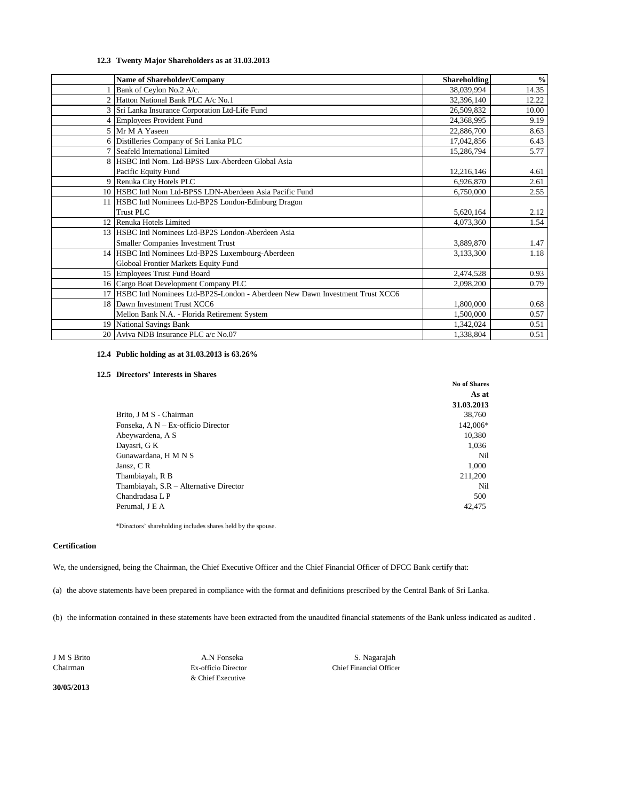# **12.3 Twenty Major Shareholders as at 31.03.2013**

|    | <b>Name of Shareholder/Company</b>                                              | <b>Shareholding</b> | $\frac{6}{9}$ |
|----|---------------------------------------------------------------------------------|---------------------|---------------|
|    | Bank of Ceylon No.2 A/c.                                                        | 38,039,994          | 14.35         |
|    | Hatton National Bank PLC A/c No.1                                               | 32,396,140          | 12.22         |
|    | 3 Sri Lanka Insurance Corporation Ltd-Life Fund                                 | 26,509,832          | 10.00         |
|    | 4 Employees Provident Fund                                                      | 24,368,995          | 9.19          |
|    | 5 Mr M A Yaseen                                                                 | 22,886,700          | 8.63          |
|    | 6 Distilleries Company of Sri Lanka PLC                                         | 17,042,856          | 6.43          |
|    | 7 Seafeld International Limited                                                 | 15,286,794          | 5.77          |
| 8  | HSBC Intl Nom. Ltd-BPSS Lux-Aberdeen Global Asia                                |                     |               |
|    | Pacific Equity Fund                                                             | 12,216,146          | 4.61          |
|    | 9 Renuka City Hotels PLC                                                        | 6,926,870           | 2.61          |
|    | 10 HSBC Intl Nom Ltd-BPSS LDN-Aberdeen Asia Pacific Fund                        | 6,750,000           | 2.55          |
|    | 11 HSBC Intl Nominees Ltd-BP2S London-Edinburg Dragon                           |                     |               |
|    | Trust PLC                                                                       | 5,620,164           | 2.12          |
| 12 | Renuka Hotels Limited                                                           | 4,073,360           | 1.54          |
|    | 13 HSBC Intl Nominees Ltd-BP2S London-Aberdeen Asia                             |                     |               |
|    | <b>Smaller Companies Investment Trust</b>                                       | 3,889,870           | 1.47          |
|    | 14 HSBC Intl Nominees Ltd-BP2S Luxembourg-Aberdeen                              | 3,133,300           | 1.18          |
|    | Globoal Frontier Markets Equity Fund                                            |                     |               |
|    | 15 Employees Trust Fund Board                                                   | 2,474,528           | 0.93          |
|    | 16 Cargo Boat Development Company PLC                                           | 2,098,200           | 0.79          |
|    | 17 HSBC Intl Nominees Ltd-BP2S-London - Aberdeen New Dawn Investment Trust XCC6 |                     |               |
|    | 18 Dawn Investment Trust XCC6                                                   | 1,800,000           | 0.68          |
|    | Mellon Bank N.A. - Florida Retirement System                                    | 1,500,000           | 0.57          |
|    | 19 National Savings Bank                                                        | 1,342,024           | 0.51          |
|    | 20 Aviva NDB Insurance PLC a/c No.07                                            | 1,338,804           | 0.51          |

# **12.4 Public holding as at 31.03.2013 is 63.26%**

### **12.5 Directors' Interests in Shares**

|                                        | <b>No of Shares</b> |
|----------------------------------------|---------------------|
|                                        | As at               |
|                                        | 31.03.2013          |
| Brito, J M S - Chairman                | 38.760              |
| Fonseka, A N - Ex-officio Director     | 142,006*            |
| Abeywardena, A S                       | 10.380              |
| Dayasri, G K                           | 1,036               |
| Gunawardana, H M N S                   | Nil                 |
| Jansz, C R                             | 1,000               |
| Thambiayah, R B                        | 211,200             |
| Thambiayah, S.R - Alternative Director | Nil                 |
| Chandradasa L P                        | 500                 |
| Perumal, J E A                         | 42,475              |
|                                        |                     |

\*Directors' shareholding includes shares held by the spouse.

# **Certification**

We, the undersigned, being the Chairman, the Chief Executive Officer and the Chief Financial Officer of DFCC Bank certify that:

(a) the above statements have been prepared in compliance with the format and definitions prescribed by the Central Bank of Sri Lanka.

(b) the information contained in these statements have been extracted from the unaudited financial statements of the Bank unless indicated as audited .

**30/05/2013**

& Chief Executive

Chairman Ex-officio Director Chief Financial Officer J M S Brito A.N Fonseka S. Nagarajah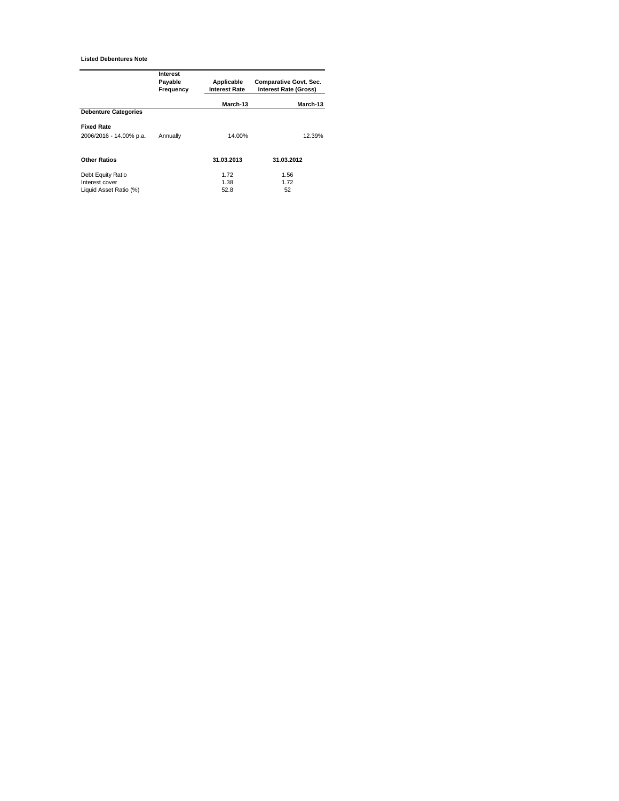**Listed Debentures Note**

|                             | Interest<br>Payable<br>Frequency | Applicable<br><b>Interest Rate</b> | Comparative Govt. Sec.<br><b>Interest Rate (Gross)</b> |  |  |  |
|-----------------------------|----------------------------------|------------------------------------|--------------------------------------------------------|--|--|--|
|                             |                                  | March-13                           | March-13                                               |  |  |  |
| <b>Debenture Categories</b> |                                  |                                    |                                                        |  |  |  |
| <b>Fixed Rate</b>           |                                  |                                    |                                                        |  |  |  |
| 2006/2016 - 14.00% p.a.     | Annually                         | 14.00%                             | 12.39%                                                 |  |  |  |
| <b>Other Ratios</b>         |                                  | 31.03.2013                         | 31.03.2012                                             |  |  |  |
| Debt Equity Ratio           |                                  | 1.72                               | 1.56                                                   |  |  |  |
| Interest cover              |                                  | 1.38                               | 1.72                                                   |  |  |  |
| Liquid Asset Ratio (%)      |                                  | 52.8                               | 52                                                     |  |  |  |